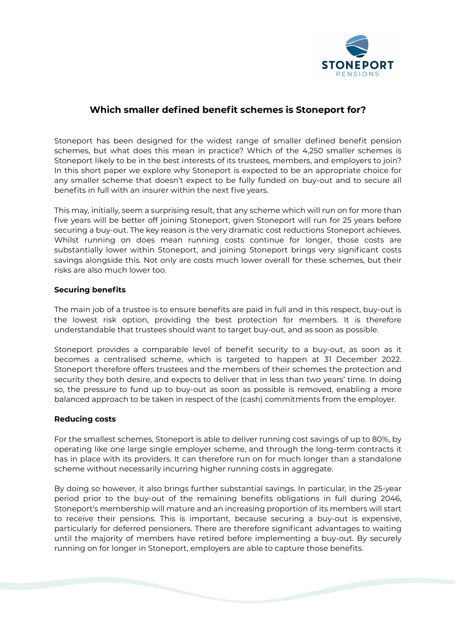

## Which smaller defined benefit schemes is Stoneport for?

Stoneport has been designed for the widest range of smaller defined benefit pension schemes, but what does this mean in practice? Which of the 4,250 smaller schemes is Stoneport likely to be in the best interests of its trustees, members, and employers to join? In this short paper we explore why Stoneport is expected to be an appropriate choice for any smaller scheme that doesn't expect to be fully funded on buy-out and to secure all benefits in full with an insurer within the next five years.

This may, initially, seem a surprising result, that any scheme which will run on for more than five years will be better off joining Stoneport, given Stoneport will run for 25 years before securing a buy-out. The key reason is the very dramatic cost reductions Stoneport achieves. Whilst running on does mean running costs continue for longer, those costs are substantially lower within Stoneport, and joining Stoneport brings very significant costs savings alongside this. Not only are costs much lower overall for these schemes, but their risks are also much lower too.

## Securing benefits

The main job of a trustee is to ensure benefits are paid in full and in this respect, buy-out is the lowest risk option, providing the best protection for members. It is therefore understandable that trustees should want to target buy-out, and as soon as possible.

Stoneport provides a comparable level of benefit security to a buy-out, as soon as it becomes a centralised scheme, which is targeted to happen at 31 December 2022. Stoneport therefore offers trustees and the members of their schemes the protection and security they both desire, and expects to deliver that in less than two years' time. In doing so, the pressure to fund up to buy-out as soon as possible is removed, enabling a more balanced approach to be taken in respect of the (cash) commitments from the employer.

## Reducing costs

For the smallest schemes, Stoneport is able to deliver running cost savings of up to 80%, by operating like one large single employer scheme, and through the long-term contracts it has in place with its providers. It can therefore run on for much longer than a standalone scheme without necessarily incurring higher running costs in aggregate.

By doing so however, it also brings further substantial savings. In particular, in the 25-year period prior to the buy-out of the remaining benefits obligations in full during 2046, Stoneport's membership will mature and an increasing proportion of its members will start to receive their pensions. This is important, because securing a buy-out is expensive, particularly for deferred pensioners. There are therefore significant advantages to waiting until the majority of members have retired before implementing a buy-out. By securely running on for longer in Stoneport, employers are able to capture those benefits.